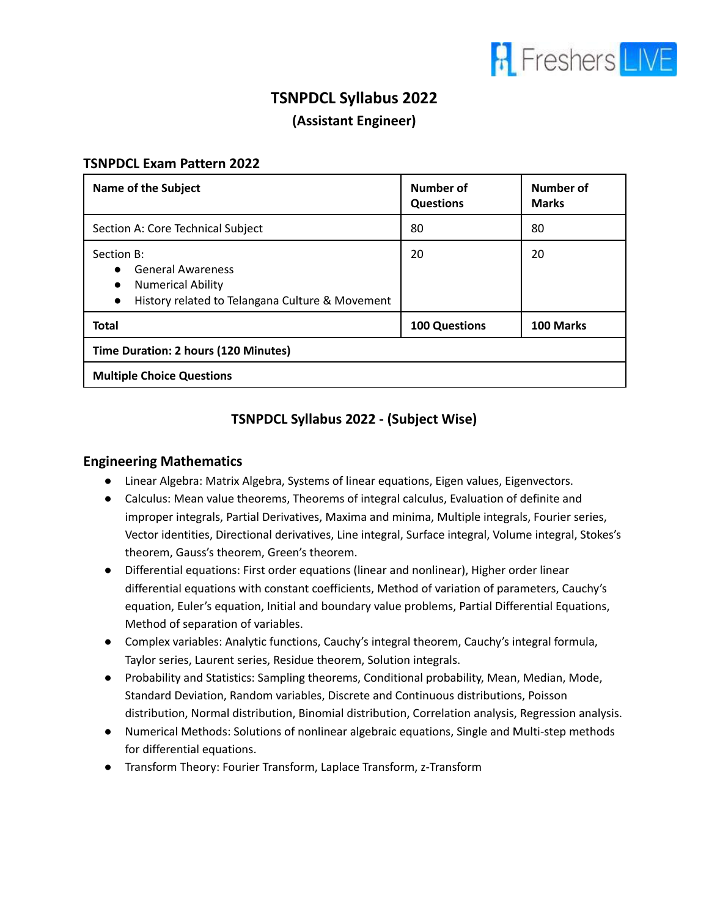

# **TSNPDCL Syllabus 2022**

## **(Assistant Engineer)**

#### **TSNPDCL Exam Pattern 2022**

| <b>Name of the Subject</b>                                                                                                                                   | Number of<br><b>Questions</b> | Number of<br><b>Marks</b> |
|--------------------------------------------------------------------------------------------------------------------------------------------------------------|-------------------------------|---------------------------|
| Section A: Core Technical Subject                                                                                                                            | 80                            | 80                        |
| Section B:<br><b>General Awareness</b><br>$\bullet$<br><b>Numerical Ability</b><br>$\bullet$<br>History related to Telangana Culture & Movement<br>$\bullet$ | 20                            | 20                        |
| <b>Total</b>                                                                                                                                                 | <b>100 Questions</b>          | 100 Marks                 |
| Time Duration: 2 hours (120 Minutes)                                                                                                                         |                               |                           |
| <b>Multiple Choice Questions</b>                                                                                                                             |                               |                           |

### **TSNPDCL Syllabus 2022 - (Subject Wise)**

#### **Engineering Mathematics**

- Linear Algebra: Matrix Algebra, Systems of linear equations, Eigen values, Eigenvectors.
- Calculus: Mean value theorems, Theorems of integral calculus, Evaluation of definite and improper integrals, Partial Derivatives, Maxima and minima, Multiple integrals, Fourier series, Vector identities, Directional derivatives, Line integral, Surface integral, Volume integral, Stokes's theorem, Gauss's theorem, Green's theorem.
- Differential equations: First order equations (linear and nonlinear), Higher order linear differential equations with constant coefficients, Method of variation of parameters, Cauchy's equation, Euler's equation, Initial and boundary value problems, Partial Differential Equations, Method of separation of variables.
- Complex variables: Analytic functions, Cauchy's integral theorem, Cauchy's integral formula, Taylor series, Laurent series, Residue theorem, Solution integrals.
- Probability and Statistics: Sampling theorems, Conditional probability, Mean, Median, Mode, Standard Deviation, Random variables, Discrete and Continuous distributions, Poisson distribution, Normal distribution, Binomial distribution, Correlation analysis, Regression analysis.
- Numerical Methods: Solutions of nonlinear algebraic equations, Single and Multi-step methods for differential equations.
- Transform Theory: Fourier Transform, Laplace Transform, z-Transform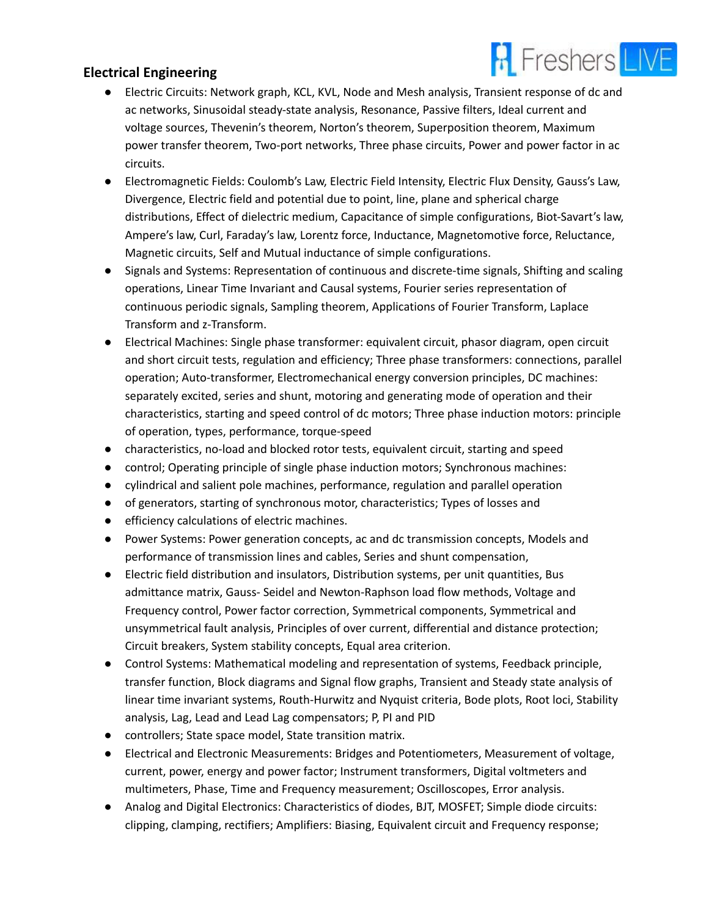### **Electrical Engineering**

● Electric Circuits: Network graph, KCL, KVL, Node and Mesh analysis, Transient response of dc and ac networks, Sinusoidal steady‐state analysis, Resonance, Passive filters, Ideal current and voltage sources, Thevenin's theorem, Norton's theorem, Superposition theorem, Maximum power transfer theorem, Two‐port networks, Three phase circuits, Power and power factor in ac circuits.

**R** Freshers LIVE

- Electromagnetic Fields: Coulomb's Law, Electric Field Intensity, Electric Flux Density, Gauss's Law, Divergence, Electric field and potential due to point, line, plane and spherical charge distributions, Effect of dielectric medium, Capacitance of simple configurations, Biot‐Savart's law, Ampere's law, Curl, Faraday's law, Lorentz force, Inductance, Magnetomotive force, Reluctance, Magnetic circuits, Self and Mutual inductance of simple configurations.
- Signals and Systems: Representation of continuous and discrete-time signals, Shifting and scaling operations, Linear Time Invariant and Causal systems, Fourier series representation of continuous periodic signals, Sampling theorem, Applications of Fourier Transform, Laplace Transform and z-Transform.
- Electrical Machines: Single phase transformer: equivalent circuit, phasor diagram, open circuit and short circuit tests, regulation and efficiency; Three phase transformers: connections, parallel operation; Auto‐transformer, Electromechanical energy conversion principles, DC machines: separately excited, series and shunt, motoring and generating mode of operation and their characteristics, starting and speed control of dc motors; Three phase induction motors: principle of operation, types, performance, torque-speed
- characteristics, no-load and blocked rotor tests, equivalent circuit, starting and speed
- control; Operating principle of single phase induction motors; Synchronous machines:
- cylindrical and salient pole machines, performance, regulation and parallel operation
- of generators, starting of synchronous motor, characteristics; Types of losses and
- efficiency calculations of electric machines.
- Power Systems: Power generation concepts, ac and dc transmission concepts, Models and performance of transmission lines and cables, Series and shunt compensation,
- Electric field distribution and insulators, Distribution systems, per unit quantities, Bus admittance matrix, Gauss- Seidel and Newton-Raphson load flow methods, Voltage and Frequency control, Power factor correction, Symmetrical components, Symmetrical and unsymmetrical fault analysis, Principles of over current, differential and distance protection; Circuit breakers, System stability concepts, Equal area criterion.
- Control Systems: Mathematical modeling and representation of systems, Feedback principle, transfer function, Block diagrams and Signal flow graphs, Transient and Steady state analysis of linear time invariant systems, Routh-Hurwitz and Nyquist criteria, Bode plots, Root loci, Stability analysis, Lag, Lead and Lead Lag compensators; P, PI and PID
- controllers; State space model, State transition matrix.
- Electrical and Electronic Measurements: Bridges and Potentiometers, Measurement of voltage, current, power, energy and power factor; Instrument transformers, Digital voltmeters and multimeters, Phase, Time and Frequency measurement; Oscilloscopes, Error analysis.
- Analog and Digital Electronics: Characteristics of diodes, BJT, MOSFET; Simple diode circuits: clipping, clamping, rectifiers; Amplifiers: Biasing, Equivalent circuit and Frequency response;